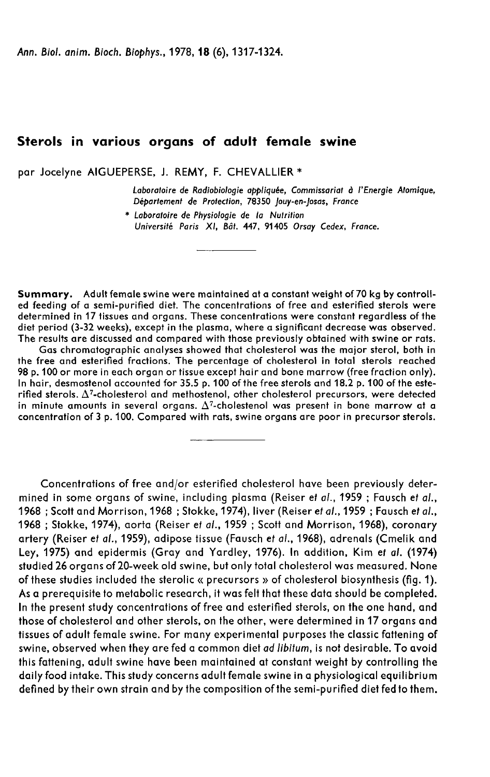Ann. Biol. anim. Bioch. Biophys., 1978, 18 (6), 1317-1324.

# Sterols in various organs of adult female swine

par Jocelyne AIGUEPERSE, J. REMY, F. CHEVALLIER \*

Laboratoire de Radiobiologie appliquée, Commissariat d l'Energie Atomique, Département de Protection, 78350 Jouy-en-Josas, France

\* Laboratoire de Physiologie de la Nutrition Université Paris XI, Bât. 447, 91405 Orsay Cedex, France.

Summary. Adult female swine were maintained at a constant weight of 70 kg by controlled feeding of a semi-purified diet. The concentrations of free and esterified sterols were determined in 17 tissues and organs. These concentrations were constant regardless of the diet period (3-32 weeks), except in the plasma, where a significant decrease was observed. The results are discussed and compared with those previously obtained with swine or rats.

Gas chromatographic analyses showed that cholesterol was the major sterol, both in the free and esterified fractions. The percentage of cholesterol in total sterols reached 98 p. 100 or more in each organ or tissue except hair and bone marrow (free fraction only). In hair, desmostenol accounted for 35.5 p. 100 of the free sterols and 18.2 p. 100 of the este-<br>rified sterols.  $\Delta^7$ -cholesterol and methostenol, other cholesterol precursors, were detected determined in 17 tissues and organs. These concentrations were constant regardless of the<br>diet period (3-32 weeks), except in the plasma, where a significant decrease was observed.<br>The results are discussed and compared wi in minute amounts in several organs.  $\Delta^7$ -cholestenol was present in bone marrow at a concentration of 3 p. 100. Compared with rats, swine organs are poor in precursor sterols.

Concentrations of free and/or esterified cholesterol have been previously determined in some organs of swine, including plasma (Reiser et al., 1959; Fausch et al., 1968 ; Scott and Morrison, 1968 ; Stokke, 1974), liver (Reiser et al., 1959 ; Fausch et al., 1968 ; Stokke, 1974), aorta (Reiser et al., 1959 ; Scott and Morrison, 1968), coronary artery (Reiser et al., 1959), adipose tissue (Fausch et al., 1968), adrenals (Cmelik and Ley, 1975) and epidermis (Gray and Yardley, 1976). In addition, Kim et al. (1974) studied 26 organs of 20-week old swine, but only total cholesterol was measured. None of these studies included the sterolic « precursors » of cholesterol biosynthesis (fig. 1). As a prerequisite to metabolic research, it was felt that these data should be completed. In the present study concentrations of free and esterified sterols, on the one hand, and those of cholesterol and other sterols, on the other, were determined in 17 organs and tissues of adult female swine. For many experimental purposes the classic fattening of swine, observed when they are fed a common diet ad libitum, is not desirable. To avoid this fattening, adult swine have been maintained at constant weight by controlling the daily food intake. This study concerns adult female swine in a physiological equilibrium defined by their own strain and by the composition of the semi-purified diet fed to them.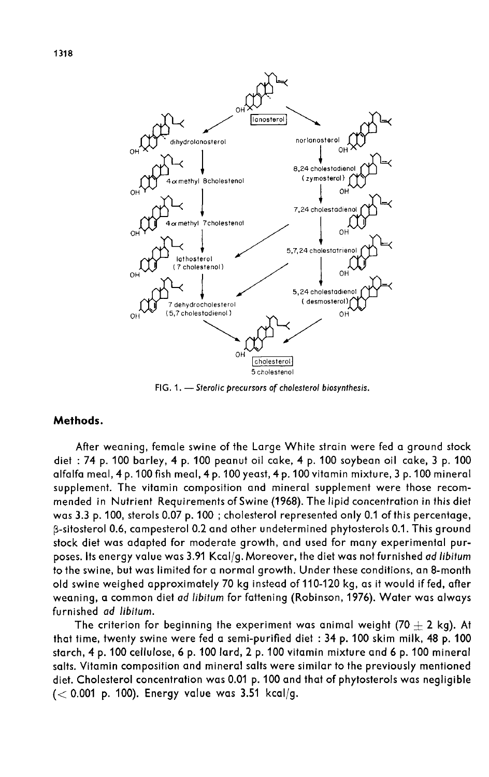



norlanosterol

OF

FIG. 1. - Sterolic precursors of cholesterol biosynthesis.

## Methods.

After weaning, female swine of the Large White strain were fed a ground stock diet : 74 p. 100 barley, 4 p. 100 peanut oil cake, 4 p. 100 soybean oil cake, 3 p. 100 alfalfa meal, 4 p.100 fish meal, 4 p. 100 yeast, 4 p.100 vitamin mixture, 3 p.100 mineral supplement. The vitamin composition and mineral supplement were those recommended in Nutrient Requirements of Swine (1968). The lipid concentration in this diet was 3.3 p. 100, sterols 0.07 p. 100 ; cholesterol represented only 0.1 of this percentage, p-sitosterol 0.6, campesterol 0.2 and other undetermined phytosterols 0.1. This ground stock diet was adapted for moderate growth, and used for many experimental purposes. Its energy value was 3.91 Kcal/g. Moreover, the diet was not furnished ad libitum to the swine, but was limited for a normal growth. Under these conditions, an 8-month old swine weighed approximately 70 kg instead of 110-120 kg, as it would if fed, after weaning, a common diet ad libitum for fattening (Robinson, 1976). Water was always furnished ad libitum.

The criterion for beginning the experiment was animal weight (70  $+$  2 kg). At that time, twenty swine were fed a semi-purified diet : 34 p. 100 skim milk, 48 p. 100 starch, 4 p. 100 cellulose, 6 p. 100 lard, 2 p. 100 vitamin mixture and 6 p. 100 mineral salts. Vitamin composition and mineral salts were similar to the previously mentioned diet. Cholesterol concentration was 0.01 p. 100 and that of phytosterols was negligible  $(< 0.001$  p. 100). Energy value was 3.51 kcal/g.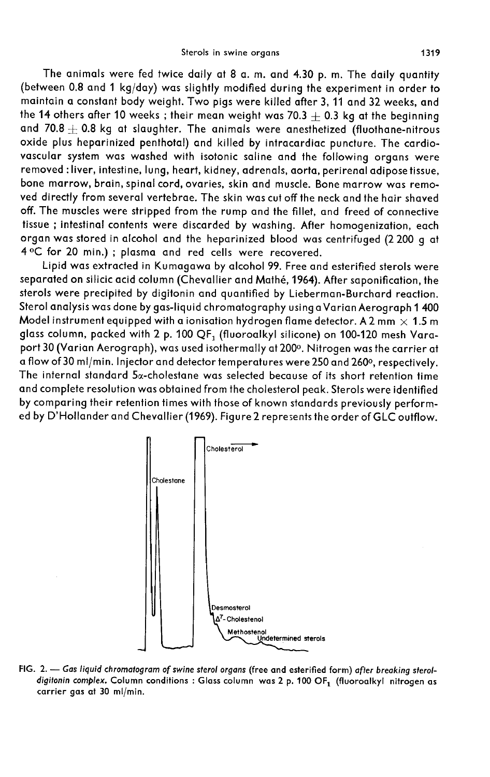The animals were fed twice daily at 8 a. m. and 4.30 p. m. The daily quantity (between 0.8 and 1 kg/day) was slightly modified during the experiment in order to maintain a constant body weight. Two pigs were killed after 3, 11 and 32 weeks, and the 14 others after 10 weeks; their mean weight was 70.3  $\pm$  0.3 kg at the beginning and 70.8  $\pm$  0.8 kg at slaughter. The animals were anesthetized (fluothane-nitrous oxide plus heparinized penthotal) and killed by intracardiac puncture. The cardiovascular system was washed with isotonic saline and the following organs were removed : liver, intestine, lung, heart, kidney, adrenals, aorta, perirenal adipose tissue, bone marrow, brain, spinal cord, ovaries, skin and muscle. Bone marrow was removed directly from several vertebrae. The skin was cut off the neck and the hair shaved off. The muscles were stripped from the rump and the fillet, and freed of connective tissue ; intestinal contents were discarded by washing. After homogenization, each organ was stored in alcohol and the heparinized blood was centrifuged (2 200 g at 4°C for 20 min.) ; plasma and red cells were recovered.

Lipid was extracted in Kumagawa by alcohol 99. Free and esterified sterols were separated on silicic acid column (Chevallier and Mathé, 1964). After saponification, the sterols were precipited by digitonin and quantified by Lieberman-Burchard reaction. Sterol analysis was done by gas-liquid chromatography using aVarian Aerograph 1 400 Model instrument equipped with a ionisation hydrogen flame detector. A 2 mm  $\times$  1.5 m glass column, packed with 2 p. 100 QF<sub>1</sub> (fluoroalkyl silicone) on 100-120 mesh Varaport 30 (Varian Aerograph), was used isothermally at 200°. Nitrogen was the carrier at a flow of 30 ml/min. Injector and detector temperatures were 250 and 260°, respectively. The internal standard  $5\alpha$ -cholestane was selected because of its short retention time and complete resolution was obtained from the cholesterol peak. Sterols were identified by comparing their retention times with those of known standards previously performed by D'Hollander and Chevallier (1969). Figure 2 represents the order of GLC outflow.



FIG. 2. - Gas liquid chromatogram of swine sterol organs (free and esterified form) after breaking steroldigitonin complex. Column conditions : Glass column was 2 p. 100 OF1 (fluoroalkyl nitrogen as carrier gas at 30 ml/min.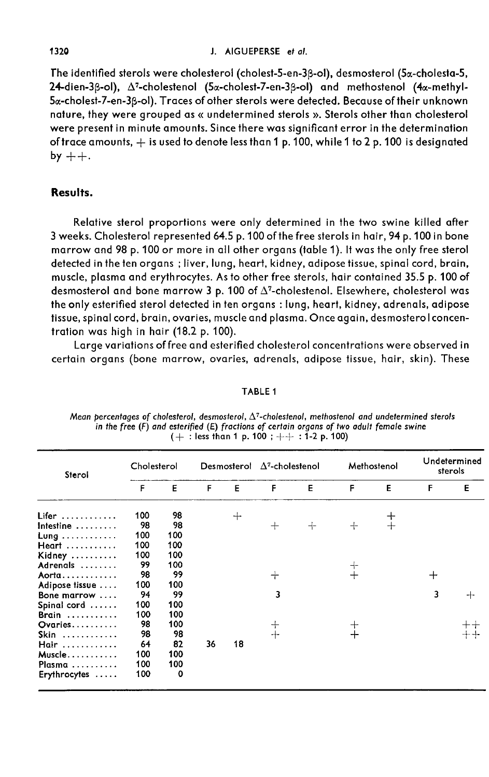#### J. AIGUEPERSE et al.

The identified sterols were cholesterol (cholest-5-en-3p-ol), desmosterol (5a-cholesta-5,  $24$ -dien-3 $\beta$ -ol),  $\Delta^7$ -cholestenol (5 $\alpha$ -cholest-7-en-3 $\beta$ -ol) and methostenol (4 $\alpha$ -methyl-5a-cholest-7-en-3p-ol). Traces of other sterols were detected. Because of their unknown nature, they were grouped as « undetermined sterols ». Sterols other than cholesterol were present in minute amounts. Since there was significant error in the determination of trace amounts,  $+$  is used to denote less than 1 p. 100, while 1 to 2 p. 100 is designated<br>by  $++$ .

## Results.

Relative sterol proportions were only determined in the two swine killed after 3 weeks. Cholesterol represented 64.5 p. 100 of the free sterols in hair, 94 p. 100 in bone marrow and 98 p. 100 or more in all other organs (table 1). It was the only free sterol detected in the ten organs ; liver, lung, heart, kidney, adipose tissue, spinal cord, brain, muscle, plasma and erythrocytes. As to other free sterols, hair contained 35.5 p. 100 of desmosterol and bone marrow 3 p. 100 of  $\Delta^7$ -cholestenol. Elsewhere, cholesterol was the only esterified sterol detected in ten organs : lung, heart, kidney, adrenals, adipose tissue, spinal cord, brain, ovaries, muscle and plasma. Once again, desmosterol concentration was high in hair (18.2 p. 100).

Large variations of free and esterified cholesterol concentrations were observed in certain organs (bone marrow, ovaries, adrenals, adipose tissue, hair, skin). These

| Sterol                      | Cholesterol |     | Desmosterol |     | $\Delta^7$ -cholestenol |     | Methostenol |     | Undetermined<br>sterols |   |
|-----------------------------|-------------|-----|-------------|-----|-------------------------|-----|-------------|-----|-------------------------|---|
|                             | F           | Е   | F           | Е   | F                       | E   | F           | E   | F                       | E |
| $Lifer$                     | 100         | 98  |             | $+$ |                         |     |             | 十   |                         |   |
| Intestine $\dots\dots\dots$ | 98          | 98  |             |     | $^{+}$                  | $+$ | $+$         | $+$ |                         |   |
| Lung                        | 100         | 100 |             |     |                         |     |             |     |                         |   |
| Heart                       | 100         | 100 |             |     |                         |     |             |     |                         |   |
| Kidney                      | 100         | 100 |             |     |                         |     |             |     |                         |   |
| Adrenals                    | 99          | 100 |             |     |                         |     | ┽           |     |                         |   |
| Aorta                       | 98          | 99  |             |     | ┽                       |     |             |     | $^+$                    |   |
| Adipose tissue              | 100         | 100 |             |     |                         |     |             |     |                         |   |
| Bone marrow $\dots$         | 94          | 99  |             |     | 3                       |     |             |     | 3                       | ┿ |
| Spinal cord                 | 100         | 100 |             |     |                         |     |             |     |                         |   |
| Brain                       | 100         | 100 |             |     |                         |     |             |     |                         |   |
| Ovaries                     | 98          | 100 |             |     | $^+$                    |     |             |     |                         |   |
| Skin                        | 98          | 98  |             |     | $+$                     |     |             |     |                         |   |
| Hair                        | 64          | 82  | 36          | 18  |                         |     |             |     |                         |   |
| Muscle                      | 100         | 100 |             |     |                         |     |             |     |                         |   |
| Plasma                      | 100         | 100 |             |     |                         |     |             |     |                         |   |
| Erythrocytes                | 100         | O   |             |     |                         |     |             |     |                         |   |

Mean percentages of cholesterol, desmosterol,  $\Delta^7$ -cholestenol, methostenol and undetermined sterols in the free  $(F)$  and esterified  $(E)$  fractions of certain organs of two adult female swine

TABLE 1

 $(+ :$  less than 1 p. 100 ;  $++ :$  1-2 p. 100)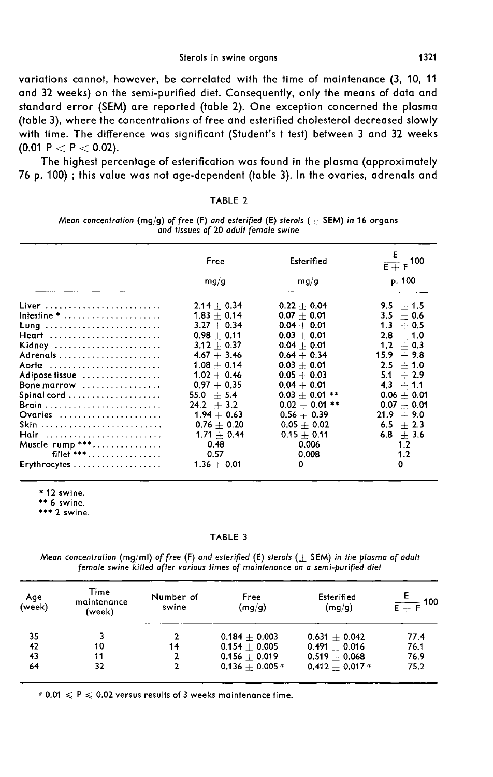variations cannot, however, be correlated with the time of maintenance (3, 10, 11 and 32 weeks) on the semi-purified diet. Consequently, only the means of data and standard error (SEM) are reported (table 2). One exception concerned the plasma (table 3), where the concentrations of free and esterified cholesterol decreased slowly with time. The difference was significant (Student's t test) between 3 and 32 weeks (0.01 P  $<$  P  $<$  0.02).

The highest percentage of esterification was found in the plasma (approximately 76 p. 100) ; this value was not age-dependent (table 3). In the ovaries, adrenals and

|  | "ABL |  |  |  |
|--|------|--|--|--|
|--|------|--|--|--|

Mean concentration (mq/q) of free (F) and esterified (E) sterols ( $+$  SEM) in 16 organs and tissues of 20 adult female swine

|                                                      | Free          | Esterified       | Ε<br>$\frac{1}{\mathsf{E}+\mathsf{F}}$ 100 |
|------------------------------------------------------|---------------|------------------|--------------------------------------------|
|                                                      | mg/g          | mg/g             | p. 100                                     |
| Liver                                                | $2.14 + 0.34$ | $0.22 + 0.04$    | $9.5 + 1.5$                                |
| Intestine $*$                                        | $1.83 + 0.14$ | $0.07 + 0.01$    | $3.5 + 0.6$                                |
| Lung                                                 | $3.27 + 0.34$ | $0.04 + 0.01$    | $1.3 + 0.5$                                |
| Heart                                                | $0.98 + 0.11$ | $0.03 + 0.01$    | $2.8 + 1.0$                                |
| Kidney                                               | $3.12 + 0.37$ | $0.04 + 0.01$    | $1.2 + 0.3$                                |
|                                                      | $4.67 + 3.46$ | $0.64 + 0.34$    | $15.9 + 9.8$                               |
| Aorta                                                | $1.08 + 0.14$ | $0.03 + 0.01$    | $2.5 + 1.0$                                |
| Adipose tissue                                       | $1.02 + 0.46$ | $0.05 + 0.03$    | $5.1 + 2.9$                                |
| Bone marrow                                          | $0.97 + 0.35$ | $0.04 + 0.01$    | $4.3 + 1.1$                                |
| $Spinal\,cord\,\ldots\ldots\ldots\ldots\ldots\ldots$ | $55.0 + 5.4$  | $0.03 + 0.01$ ** | $0.06 + 0.01$                              |
|                                                      | $24.2 + 3.2$  | $0.02 + 0.01$ ** | $0.07 + 0.01$                              |
| Ovaries                                              | $1.94 + 0.63$ | $0.56 + 0.39$    | $21.9 + 9.0$                               |
| Skin                                                 | $0.76 + 0.20$ | $0.05 + 0.02$    | $6.5 + 2.3$                                |
| Hair                                                 | $1.71 + 0.44$ | $0.15 + 0.11$    | $6.8 + 3.6$                                |
| Muscle rump ***                                      | 0.48          | 0.006            | 1.2                                        |
| fillet ***                                           | 0.57          | 0.008            | 1.2                                        |
| Erythrocytes                                         | $1.36 + 0.01$ | 0                | 0                                          |

\* 12 swine. \*\* 6 swine. \*\*\* 2 swine.

TABLE 3

Mean concentration (mq/ml) of free (F) and esterified (E) sterols ( $\pm$  SEM) in the plasma of adult female swine killed after various times of maintenance on a semi-purified diet

| Age<br>(week) | Time<br>maintenance<br>(week) | Number of<br>swine | Free<br>(mg/g)   | Esterified<br>(mq/q)         | $\frac{1}{E + F}$ 100 |
|---------------|-------------------------------|--------------------|------------------|------------------------------|-----------------------|
| 35            |                               |                    | $0.184 + 0.003$  | $0.631 + 0.042$              | 77.4                  |
| 42            | 10                            | 14                 | $0.154 + 0.005$  | $0.491 + 0.016$              | 76.1                  |
| 43            | 11                            |                    | $0.156 + 0.019$  | $0.519 + 0.068$              | 76.9                  |
| 64            | 32                            |                    | $0.136 + 0.005a$ | $0.412 + 0.017$ <sup>a</sup> | 75.2                  |

 $a$  0.01  $\leqslant$  P  $\leqslant$  0.02 versus results of 3 weeks maintenance time.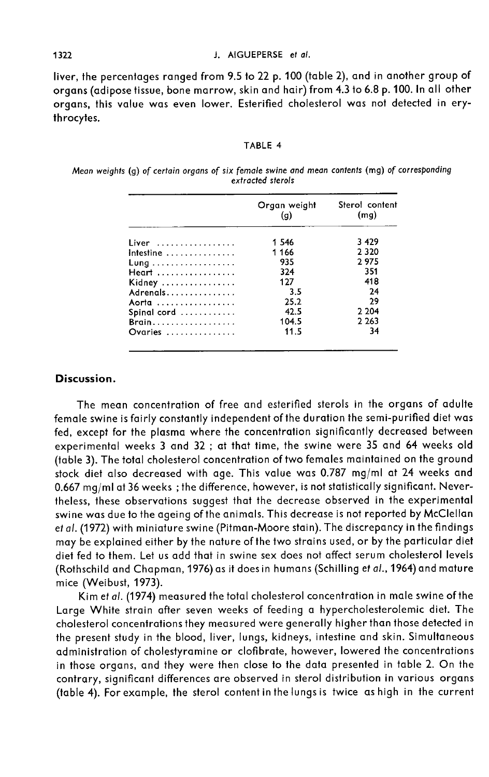liver, the percentages ranged from 9.5 to 22 p. 100 (table 2), and in another group of organs (adipose tissue, bone marrow, skin and hair) from 4.3 to 6.8 p. 100. In all other organs, this value was even lower. Esterified cholesterol was not detected in erythrocytes.

#### TABLE 4

Mean weights (g) of certain organs of six female swine and mean contents (mg) of corresponding extracted sterols

|                                         | Organ weight<br>(q) | Sterol content<br>(mq) |
|-----------------------------------------|---------------------|------------------------|
| Liver                                   | 1 546               | 3 4 2 9                |
| Intestine $\ldots \ldots \ldots \ldots$ | 1166                | 2 3 2 0                |
| Lung                                    | 935                 | 2975                   |
| Heart                                   | 324                 | 351                    |
| Kidney                                  | 127                 | 418                    |
| Adrenals                                | 3.5                 | 24                     |
| Aorta                                   | 25.2                | 29                     |
| Spinal cord                             | 42.5                | 2 2 0 4                |
| Brain                                   | 104.5               | 2 2 6 3                |
| Ovaries                                 | 11.5                | 34                     |

## Discussion.

The mean concentration of free and esterified sterols in the organs of adulte female swine is fairly constantly independent of the duration the semi-purified diet was fed, except for the plasma where the concentration significantly decreased between experimental weeks 3 and 32 ; at that time, the swine were 35 and 64 weeks old (table 3). The total cholesterol concentration of two females maintained on the ground stock diet also decreased with age. This value was 0.787 mg/ml at 24 weeks and 0.667 mg/ml at 36 weeks ; the difference, however, is not statistically significant. Nevertheless, these observations suggest that the decrease observed in the experimental swine was due to the ageing of the animals. This decrease is not reported by McClellan et al. (1972) with miniature swine (Pitman-Moore stain). The discrepancy in the findings may be explained either by the nature of the two strains used, or by the particular diet diet fed to them. Let us add that in swine sex does not affect serum cholesterol levels (Rothschild and Chapman, 1976) as it does in humans (Schilling et al., 1964) and mature mice (Weibust, 1973).

Kim et al. (1974) measured the total cholesterol concentration in male swine of the Large White strain after seven weeks of feeding a hypercholesterolemic diet. The cholesterol concentrations they measured were generally higher than those detected in the present study in the blood, liver, lungs, kidneys, intestine and skin. Simultaneous administration of cholestyramine or clofibrate, however, lowered the concentrations in those organs, and they were then close to the data presented in table 2. On the contrary, significant differences are observed in sterol distribution in various organs (table 4). For example, the sterol content in the lungs is twice as high in the current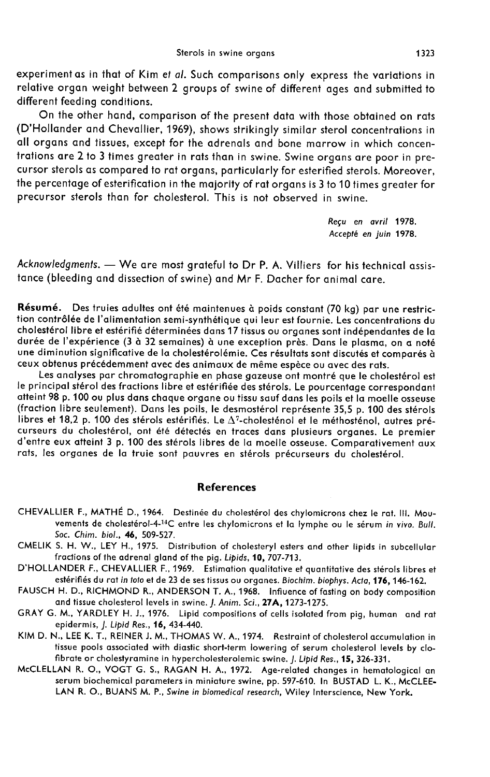experiment as in that of Kim et al. Such comparisons only express the variations in relative organ weight between 2 groups of swine of different ages and submitted to different feeding conditions.

On the other hand, comparison of the present data with those obtained on rats (D'Hollander and Chevallier, 1969), shows strikingly similar sterol concentrations in all organs and tissues, except for the adrenals and bone marrow in which concentrations are 2 to 3 times greater in rats than in swine. Swine organs are poor in pre cursor sterols as compared to rat organs, particularly for esterified sterols. Moreover, the percentage of esterification in the majority of rat organs is 3 to 10 times greater for precursor sterols than for cholesterol. This is not observed in swine.

> Reçu en avril 1978. Accept6 en juin 1978.

Acknowledgments. - We are most grateful to Dr P. A. Villiers for his technical assistance (bleeding and dissection of swine) and Mr F. Dacher for animal care.

Résumé. Des truies adultes ont été maintenues à poids constant (70 kg) par une restriction contrôlée de l'alimentation semi-synthétique qui leur est fournie. Les concentrations du u cholestérol libre et estérifié déterminées dans 17 tissus ou organes sont indépendantes de la durée de l'expérience (3 à 32 semaines) à une exception près. Dans le plasma, on a noté une diminution significative de la cholestérolémie. Ces résultats sont discutés et comparés à ceux obtenus précédemment avec des animaux de même espèce ou avec des rats.

Les analyses par chromatographie en phase gazeuse ont montré que le cholestérol est atteint 98 p. 100 ou plus dans chaque organe ou tissu sauf dans les poils et la moelle osseuse (fraction libre seulement). Dans les poils, le desmostérol représente 35,5 p. 100 des stérols<br>libres et 18,2 p. 100 des stérols estérifiés. Le  $\Delta^7$ -cholesténol et le méthosténol, autres précurseurs du cholestérol, ont été détectés en traces dans plusieurs organes. Le premier<br>d'entre eux atteint 3 p. 100 des stérols libres de la moelle osseuse. Comparativement aux rats, les organes de la truie sont pauvres en stérols précurseurs du cholestérol.

### References

- CHEVALLIER F., MATHÉ D., 1964. Destinée du cholestérol des chylomicrons chez le rat. III. Mouvements de cholestérol-4-<sup>14</sup>C entre les chylomicrons et la lymphe ou le sérum in vivo. Bull. Soc. Chim. biol., 46, 509-527.
- CMELIK S. H. W., LEY H., 1975. Distribution of cholesteryl esters and other lipids in subcellular fractions of the adrenal gland of the pig. Lipids, 10, 707-713.
- D'HOLLANDER F., CHEVALLIER F., 1969. Estimation qualitative et quantitative des stérols libres et<br>estérifiés du rat in toto et de 23 de ses tissus ou organes. Biochim. biophys. Acta, 176, 146-162.
- FAUSCH H. D., RICHMOND R., ANDERSON T. A., 1968. Infiuence of fasting on body composition and tissue cholesterol levels in swine. J. Anim. Sci., 27A, 1273-1275.
- GRAY G. M., YARDLEY H. J., 1976. Lipid compositions of cells isolated from pig, human and rat epidermis, J. Lipid Res., 16, 434-440.
- KIM D. N., LEE K. T., REINER J. M., THOMAS W. A., 1974. Restraint of cholesterol accumulation in tissue pools associated with diastic short-term lowering of serum cholesterol levels by clofibrate or cholestyramine in hypercholesterolemic swine. J. Lipid Res., 15, 326-331.
- McCLELLAN R. 0., VOGT G. S., RAGAN H. A., 1972. Age-related changes in hematological an serum biochemical parameters in miniature swine, pp. 597-610. In BUSTAD L. K., McCLEE-LAN R. O., BUANS M. P., Swine in biomedical research, Wiley Interscience, New York.